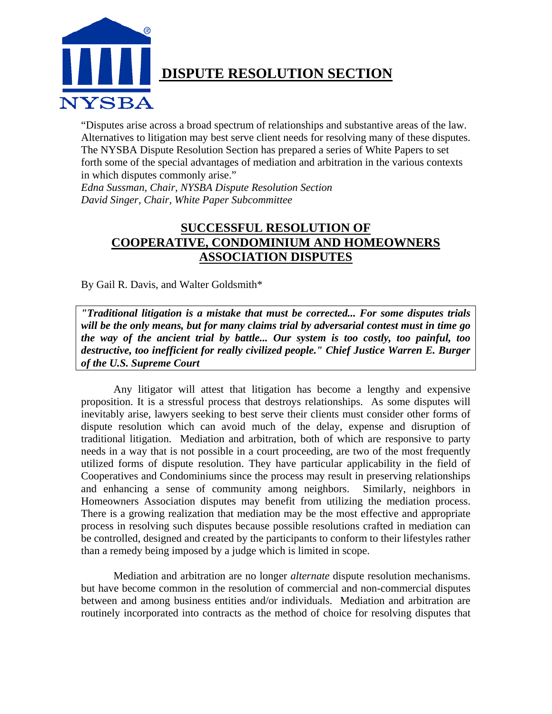

# **DISPUTE RESOLUTION SECTION**

"Disputes arise across a broad spectrum of relationships and substantive areas of the law. Alternatives to litigation may best serve client needs for resolving many of these disputes. The NYSBA Dispute Resolution Section has prepared a series of White Papers to set forth some of the special advantages of mediation and arbitration in the various contexts in which disputes commonly arise."

*Edna Sussman, Chair, NYSBA Dispute Resolution Section David Singer, Chair, White Paper Subcommittee* 

# **SUCCESSFUL RESOLUTION OF COOPERATIVE, CONDOMINIUM AND HOMEOWNERS ASSOCIATION DISPUTES**

By Gail R. Davis, and Walter Goldsmith\*

*"Traditional litigation is a mistake that must be corrected... For some disputes trials will be the only means, but for many claims trial by adversarial contest must in time go the way of the ancient trial by battle... Our system is too costly, too painful, too destructive, too inefficient for really civilized people." Chief Justice Warren E. Burger of the U.S. Supreme Court* 

Any litigator will attest that litigation has become a lengthy and expensive proposition. It is a stressful process that destroys relationships. As some disputes will inevitably arise, lawyers seeking to best serve their clients must consider other forms of dispute resolution which can avoid much of the delay, expense and disruption of traditional litigation. Mediation and arbitration, both of which are responsive to party needs in a way that is not possible in a court proceeding, are two of the most frequently utilized forms of dispute resolution. They have particular applicability in the field of Cooperatives and Condominiums since the process may result in preserving relationships and enhancing a sense of community among neighbors. Similarly, neighbors in Homeowners Association disputes may benefit from utilizing the mediation process. There is a growing realization that mediation may be the most effective and appropriate process in resolving such disputes because possible resolutions crafted in mediation can be controlled, designed and created by the participants to conform to their lifestyles rather than a remedy being imposed by a judge which is limited in scope.

Mediation and arbitration are no longer *alternate* dispute resolution mechanisms. but have become common in the resolution of commercial and non-commercial disputes between and among business entities and/or individuals. Mediation and arbitration are routinely incorporated into contracts as the method of choice for resolving disputes that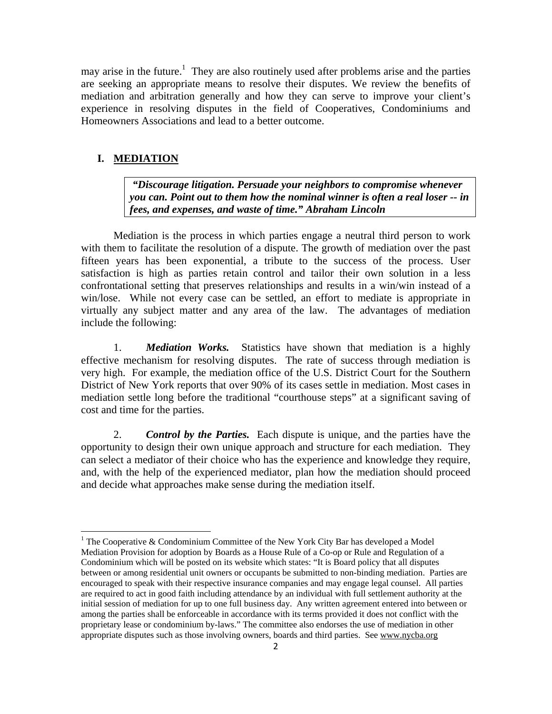may arise in the future.<sup>1</sup> They are also routinely used after problems arise and the parties are seeking an appropriate means to resolve their disputes. We review the benefits of mediation and arbitration generally and how they can serve to improve your client's experience in resolving disputes in the field of Cooperatives, Condominiums and Homeowners Associations and lead to a better outcome.

#### **I. MEDIATION**

 *"Discourage litigation. Persuade your neighbors to compromise whenever you can. Point out to them how the nominal winner is often a real loser -- in fees, and expenses, and waste of time." Abraham Lincoln* 

 Mediation is the process in which parties engage a neutral third person to work with them to facilitate the resolution of a dispute. The growth of mediation over the past fifteen years has been exponential, a tribute to the success of the process. User satisfaction is high as parties retain control and tailor their own solution in a less confrontational setting that preserves relationships and results in a win/win instead of a win/lose. While not every case can be settled, an effort to mediate is appropriate in virtually any subject matter and any area of the law. The advantages of mediation include the following:

1. *Mediation Works.* Statistics have shown that mediation is a highly effective mechanism for resolving disputes. The rate of success through mediation is very high. For example, the mediation office of the U.S. District Court for the Southern District of New York reports that over 90% of its cases settle in mediation. Most cases in mediation settle long before the traditional "courthouse steps" at a significant saving of cost and time for the parties.

2. *Control by the Parties.* Each dispute is unique, and the parties have the opportunity to design their own unique approach and structure for each mediation. They can select a mediator of their choice who has the experience and knowledge they require, and, with the help of the experienced mediator, plan how the mediation should proceed and decide what approaches make sense during the mediation itself.

<sup>&</sup>lt;sup>1</sup> The Cooperative & Condominium Committee of the New York City Bar has developed a Model Mediation Provision for adoption by Boards as a House Rule of a Co-op or Rule and Regulation of a Condominium which will be posted on its website which states: "It is Board policy that all disputes between or among residential unit owners or occupants be submitted to non-binding mediation. Parties are encouraged to speak with their respective insurance companies and may engage legal counsel. All parties are required to act in good faith including attendance by an individual with full settlement authority at the initial session of mediation for up to one full business day. Any written agreement entered into between or among the parties shall be enforceable in accordance with its terms provided it does not conflict with the proprietary lease or condominium by-laws." The committee also endorses the use of mediation in other appropriate disputes such as those involving owners, boards and third parties. See www.nycba.org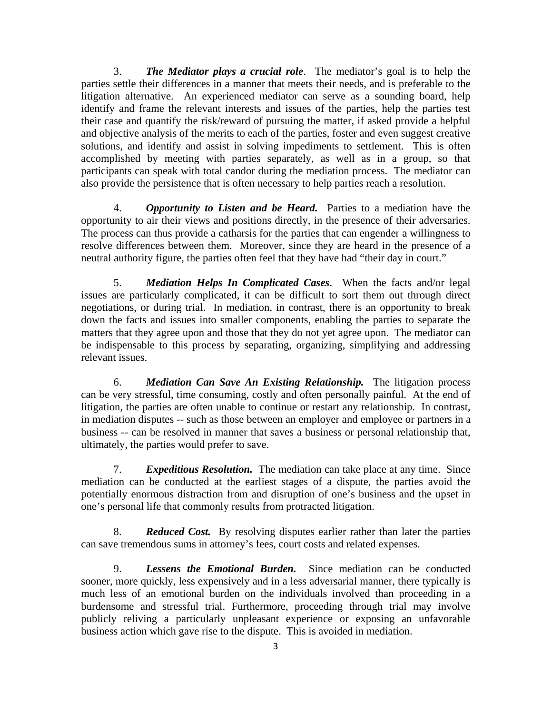3. *The Mediator plays a crucial role*. The mediator's goal is to help the parties settle their differences in a manner that meets their needs, and is preferable to the litigation alternative. An experienced mediator can serve as a sounding board, help identify and frame the relevant interests and issues of the parties, help the parties test their case and quantify the risk/reward of pursuing the matter, if asked provide a helpful and objective analysis of the merits to each of the parties, foster and even suggest creative solutions, and identify and assist in solving impediments to settlement. This is often accomplished by meeting with parties separately, as well as in a group, so that participants can speak with total candor during the mediation process. The mediator can also provide the persistence that is often necessary to help parties reach a resolution.

4. *Opportunity to Listen and be Heard.* Parties to a mediation have the opportunity to air their views and positions directly, in the presence of their adversaries. The process can thus provide a catharsis for the parties that can engender a willingness to resolve differences between them. Moreover, since they are heard in the presence of a neutral authority figure, the parties often feel that they have had "their day in court."

5. *Mediation Helps In Complicated Cases*. When the facts and/or legal issues are particularly complicated, it can be difficult to sort them out through direct negotiations, or during trial. In mediation, in contrast, there is an opportunity to break down the facts and issues into smaller components, enabling the parties to separate the matters that they agree upon and those that they do not yet agree upon. The mediator can be indispensable to this process by separating, organizing, simplifying and addressing relevant issues.

6. *Mediation Can Save An Existing Relationship.* The litigation process can be very stressful, time consuming, costly and often personally painful. At the end of litigation, the parties are often unable to continue or restart any relationship. In contrast, in mediation disputes -- such as those between an employer and employee or partners in a business -- can be resolved in manner that saves a business or personal relationship that, ultimately, the parties would prefer to save.

7. *Expeditious Resolution.* The mediation can take place at any time. Since mediation can be conducted at the earliest stages of a dispute, the parties avoid the potentially enormous distraction from and disruption of one's business and the upset in one's personal life that commonly results from protracted litigation.

8. *Reduced Cost.* By resolving disputes earlier rather than later the parties can save tremendous sums in attorney's fees, court costs and related expenses.

9. *Lessens the Emotional Burden.* Since mediation can be conducted sooner, more quickly, less expensively and in a less adversarial manner, there typically is much less of an emotional burden on the individuals involved than proceeding in a burdensome and stressful trial. Furthermore, proceeding through trial may involve publicly reliving a particularly unpleasant experience or exposing an unfavorable business action which gave rise to the dispute. This is avoided in mediation.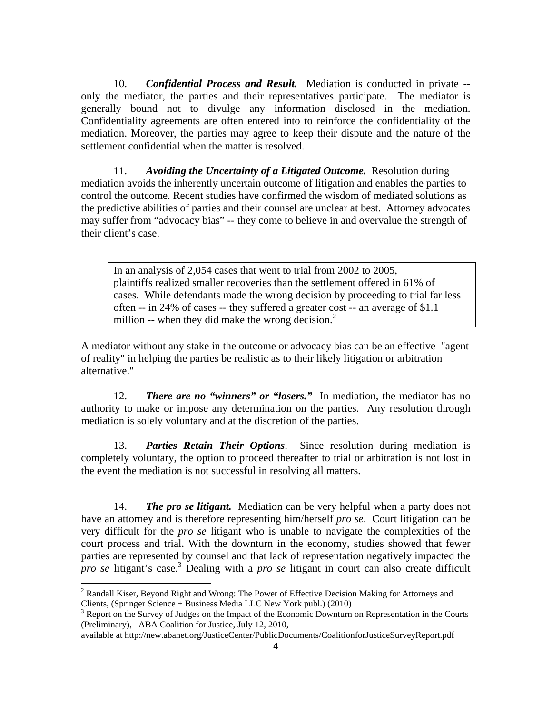10. *Confidential Process and Result.* Mediation is conducted in private - only the mediator, the parties and their representatives participate. The mediator is generally bound not to divulge any information disclosed in the mediation. Confidentiality agreements are often entered into to reinforce the confidentiality of the mediation. Moreover, the parties may agree to keep their dispute and the nature of the settlement confidential when the matter is resolved.

11. *Avoiding the Uncertainty of a Litigated Outcome.* Resolution during mediation avoids the inherently uncertain outcome of litigation and enables the parties to control the outcome. Recent studies have confirmed the wisdom of mediated solutions as the predictive abilities of parties and their counsel are unclear at best. Attorney advocates may suffer from "advocacy bias" -- they come to believe in and overvalue the strength of their client's case.

In an analysis of 2,054 cases that went to trial from 2002 to 2005, plaintiffs realized smaller recoveries than the settlement offered in 61% of cases. While defendants made the wrong decision by proceeding to trial far less often -- in 24% of cases -- they suffered a greater cost -- an average of \$1.1 million  $-$  when they did make the wrong decision.<sup>2</sup>

A mediator without any stake in the outcome or advocacy bias can be an effective "agent of reality" in helping the parties be realistic as to their likely litigation or arbitration alternative."

12. *There are no "winners" or "losers."* In mediation, the mediator has no authority to make or impose any determination on the parties. Any resolution through mediation is solely voluntary and at the discretion of the parties.

13. *Parties Retain Their Options*. Since resolution during mediation is completely voluntary, the option to proceed thereafter to trial or arbitration is not lost in the event the mediation is not successful in resolving all matters.

14. *The pro se litigant.* Mediation can be very helpful when a party does not have an attorney and is therefore representing him/herself *pro se*. Court litigation can be very difficult for the *pro se* litigant who is unable to navigate the complexities of the court process and trial. With the downturn in the economy, studies showed that fewer parties are represented by counsel and that lack of representation negatively impacted the *pro se* litigant's case.<sup>3</sup> Dealing with a *pro se* litigant in court can also create difficult

 $2^2$  Randall Kiser, Beyond Right and Wrong: The Power of Effective Decision Making for Attorneys and Clients, (Springer Science + Business Media LLC New York publ.) (2010) 3

<sup>&</sup>lt;sup>3</sup> Report on the Survey of Judges on the Impact of the Economic Downturn on Representation in the Courts (Preliminary), ABA Coalition for Justice, July 12, 2010,

available at http://new.abanet.org/JusticeCenter/PublicDocuments/CoalitionforJusticeSurveyReport.pdf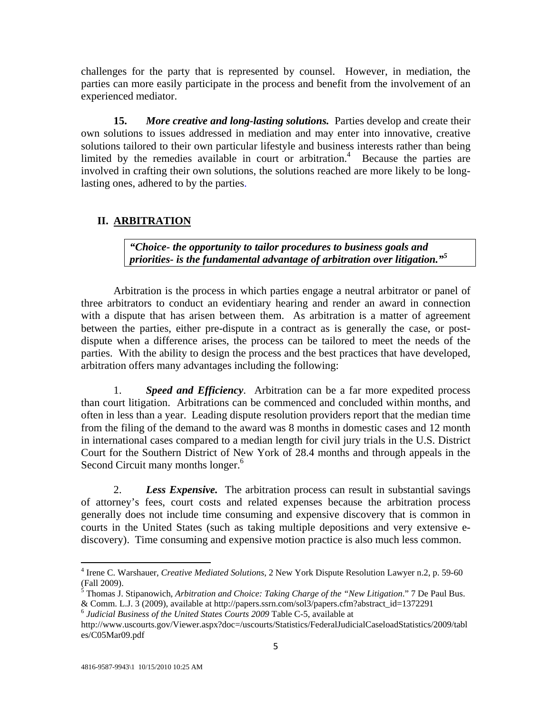challenges for the party that is represented by counsel. However, in mediation, the parties can more easily participate in the process and benefit from the involvement of an experienced mediator.

**15.** *More creative and long-lasting solutions.* Parties develop and create their own solutions to issues addressed in mediation and may enter into innovative, creative solutions tailored to their own particular lifestyle and business interests rather than being limited by the remedies available in court or arbitration.<sup>4</sup> Because the parties are involved in crafting their own solutions, the solutions reached are more likely to be longlasting ones, adhered to by the parties.

## **II. ARBITRATION**

*"Choice- the opportunity to tailor procedures to business goals and priorities- is the fundamental advantage of arbitration over litigation."<sup>5</sup>*

Arbitration is the process in which parties engage a neutral arbitrator or panel of three arbitrators to conduct an evidentiary hearing and render an award in connection with a dispute that has arisen between them. As arbitration is a matter of agreement between the parties, either pre-dispute in a contract as is generally the case, or postdispute when a difference arises, the process can be tailored to meet the needs of the parties. With the ability to design the process and the best practices that have developed, arbitration offers many advantages including the following:

1. *Speed and Efficiency*. Arbitration can be a far more expedited process than court litigation. Arbitrations can be commenced and concluded within months, and often in less than a year. Leading dispute resolution providers report that the median time from the filing of the demand to the award was 8 months in domestic cases and 12 month in international cases compared to a median length for civil jury trials in the U.S. District Court for the Southern District of New York of 28.4 months and through appeals in the Second Circuit many months longer.<sup>6</sup>

2. *Less Expensive.* The arbitration process can result in substantial savings of attorney's fees, court costs and related expenses because the arbitration process generally does not include time consuming and expensive discovery that is common in courts in the United States (such as taking multiple depositions and very extensive ediscovery). Time consuming and expensive motion practice is also much less common.

<sup>4</sup> Irene C. Warshauer, *Creative Mediated Solutions*, 2 New York Dispute Resolution Lawyer n.2, p. 59-60 (Fall 2009).

<sup>5</sup> Thomas J. Stipanowich*, Arbitration and Choice: Taking Charge of the "New Litigation*." 7 De Paul Bus. & Comm. L.J. 3 (2009), available at http://papers.ssrn.com/sol3/papers.cfm?abstract\_id=1372291 6 *Judicial Business of the United States Courts 2009* Table C-5, available at

http://www.uscourts.gov/Viewer.aspx?doc=/uscourts/Statistics/FederalJudicialCaseloadStatistics/2009/tabl es/C05Mar09.pdf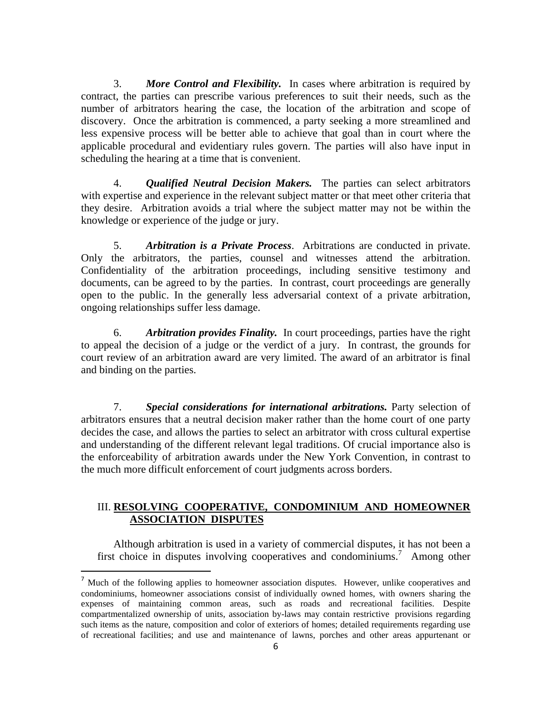3. *More Control and Flexibility.* In cases where arbitration is required by contract, the parties can prescribe various preferences to suit their needs, such as the number of arbitrators hearing the case, the location of the arbitration and scope of discovery. Once the arbitration is commenced, a party seeking a more streamlined and less expensive process will be better able to achieve that goal than in court where the applicable procedural and evidentiary rules govern. The parties will also have input in scheduling the hearing at a time that is convenient.

4. *Qualified Neutral Decision Makers.* The parties can select arbitrators with expertise and experience in the relevant subject matter or that meet other criteria that they desire. Arbitration avoids a trial where the subject matter may not be within the knowledge or experience of the judge or jury.

5. *Arbitration is a Private Process*. Arbitrations are conducted in private. Only the arbitrators, the parties, counsel and witnesses attend the arbitration. Confidentiality of the arbitration proceedings, including sensitive testimony and documents, can be agreed to by the parties. In contrast, court proceedings are generally open to the public. In the generally less adversarial context of a private arbitration, ongoing relationships suffer less damage.

6. *Arbitration provides Finality.* In court proceedings, parties have the right to appeal the decision of a judge or the verdict of a jury. In contrast, the grounds for court review of an arbitration award are very limited. The award of an arbitrator is final and binding on the parties.

7. *Special considerations for international arbitrations.* Party selection of arbitrators ensures that a neutral decision maker rather than the home court of one party decides the case, and allows the parties to select an arbitrator with cross cultural expertise and understanding of the different relevant legal traditions. Of crucial importance also is the enforceability of arbitration awards under the New York Convention, in contrast to the much more difficult enforcement of court judgments across borders.

## III. **RESOLVING COOPERATIVE, CONDOMINIUM AND HOMEOWNER ASSOCIATION DISPUTES**

 Although arbitration is used in a variety of commercial disputes, it has not been a first choice in disputes involving cooperatives and condominiums.<sup>7</sup> Among other

<sup>&</sup>lt;sup>7</sup> Much of the following applies to homeowner association disputes. However, unlike cooperatives and condominiums, homeowner associations consist of individually owned homes, with owners sharing the expenses of maintaining common areas, such as roads and recreational facilities. Despite compartmentalized ownership of units, association by-laws may contain restrictive provisions regarding such items as the nature, composition and color of exteriors of homes; detailed requirements regarding use of recreational facilities; and use and maintenance of lawns, porches and other areas appurtenant or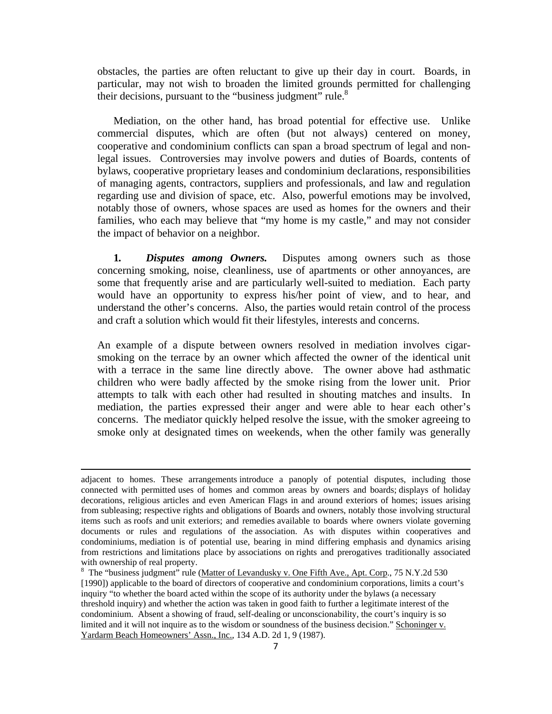obstacles, the parties are often reluctant to give up their day in court. Boards, in particular, may not wish to broaden the limited grounds permitted for challenging their decisions, pursuant to the "business judgment" rule. $8$ 

 Mediation, on the other hand, has broad potential for effective use. Unlike commercial disputes, which are often (but not always) centered on money, cooperative and condominium conflicts can span a broad spectrum of legal and nonlegal issues. Controversies may involve powers and duties of Boards, contents of bylaws, cooperative proprietary leases and condominium declarations, responsibilities of managing agents, contractors, suppliers and professionals, and law and regulation regarding use and division of space, etc. Also, powerful emotions may be involved, notably those of owners, whose spaces are used as homes for the owners and their families, who each may believe that "my home is my castle," and may not consider the impact of behavior on a neighbor.

**1***. Disputes among Owners.* Disputes among owners such as those concerning smoking, noise, cleanliness, use of apartments or other annoyances, are some that frequently arise and are particularly well-suited to mediation. Each party would have an opportunity to express his/her point of view, and to hear, and understand the other's concerns. Also, the parties would retain control of the process and craft a solution which would fit their lifestyles, interests and concerns.

An example of a dispute between owners resolved in mediation involves cigarsmoking on the terrace by an owner which affected the owner of the identical unit with a terrace in the same line directly above. The owner above had asthmatic children who were badly affected by the smoke rising from the lower unit. Prior attempts to talk with each other had resulted in shouting matches and insults. In mediation, the parties expressed their anger and were able to hear each other's concerns. The mediator quickly helped resolve the issue, with the smoker agreeing to smoke only at designated times on weekends, when the other family was generally

<u> 1989 - Johann Stein, marwolaethau a bhann an chomhair an chomhair an chomhair an chomhair an chomhair an chom</u>

adjacent to homes. These arrangements introduce a panoply of potential disputes, including those connected with permitted uses of homes and common areas by owners and boards; displays of holiday decorations, religious articles and even American Flags in and around exteriors of homes; issues arising from subleasing; respective rights and obligations of Boards and owners, notably those involving structural items such as roofs and unit exteriors; and remedies available to boards where owners violate governing documents or rules and regulations of the association. As with disputes within cooperatives and condominiums, mediation is of potential use, bearing in mind differing emphasis and dynamics arising from restrictions and limitations place by associations on rights and prerogatives traditionally associated with ownership of real property.

<sup>&</sup>lt;sup>8</sup> The "business judgment" rule (Matter of Levandusky v. One Fifth Ave., Apt. Corp., 75 N.Y.2d 530 [1990]) applicable to the board of directors of cooperative and condominium corporations, limits a court's inquiry "to whether the board acted within the scope of its authority under the bylaws (a necessary threshold inquiry) and whether the action was taken in good faith to further a legitimate interest of the condominium. Absent a showing of fraud, self-dealing or unconscionability, the court's inquiry is so limited and it will not inquire as to the wisdom or soundness of the business decision." Schoninger v. Yardarm Beach Homeowners' Assn., Inc., 134 A.D. 2d 1, 9 (1987).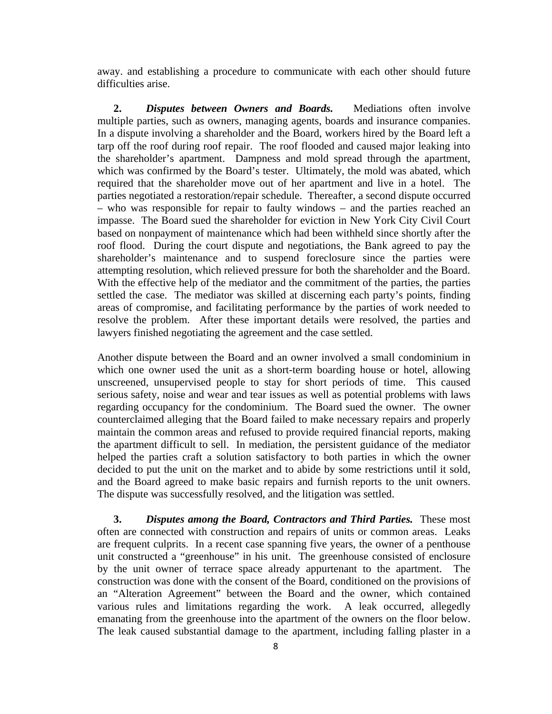away. and establishing a procedure to communicate with each other should future difficulties arise.

**2.** *Disputes between Owners and Boards.* Mediations often involve multiple parties, such as owners, managing agents, boards and insurance companies. In a dispute involving a shareholder and the Board, workers hired by the Board left a tarp off the roof during roof repair. The roof flooded and caused major leaking into the shareholder's apartment. Dampness and mold spread through the apartment, which was confirmed by the Board's tester. Ultimately, the mold was abated, which required that the shareholder move out of her apartment and live in a hotel. The parties negotiated a restoration/repair schedule. Thereafter, a second dispute occurred – who was responsible for repair to faulty windows – and the parties reached an impasse. The Board sued the shareholder for eviction in New York City Civil Court based on nonpayment of maintenance which had been withheld since shortly after the roof flood. During the court dispute and negotiations, the Bank agreed to pay the shareholder's maintenance and to suspend foreclosure since the parties were attempting resolution, which relieved pressure for both the shareholder and the Board. With the effective help of the mediator and the commitment of the parties, the parties settled the case. The mediator was skilled at discerning each party's points, finding areas of compromise, and facilitating performance by the parties of work needed to resolve the problem. After these important details were resolved, the parties and lawyers finished negotiating the agreement and the case settled.

Another dispute between the Board and an owner involved a small condominium in which one owner used the unit as a short-term boarding house or hotel, allowing unscreened, unsupervised people to stay for short periods of time. This caused serious safety, noise and wear and tear issues as well as potential problems with laws regarding occupancy for the condominium. The Board sued the owner. The owner counterclaimed alleging that the Board failed to make necessary repairs and properly maintain the common areas and refused to provide required financial reports, making the apartment difficult to sell. In mediation, the persistent guidance of the mediator helped the parties craft a solution satisfactory to both parties in which the owner decided to put the unit on the market and to abide by some restrictions until it sold, and the Board agreed to make basic repairs and furnish reports to the unit owners. The dispute was successfully resolved, and the litigation was settled.

**3.** *Disputes among the Board, Contractors and Third Parties.* These most often are connected with construction and repairs of units or common areas. Leaks are frequent culprits. In a recent case spanning five years, the owner of a penthouse unit constructed a "greenhouse" in his unit. The greenhouse consisted of enclosure by the unit owner of terrace space already appurtenant to the apartment. The construction was done with the consent of the Board, conditioned on the provisions of an "Alteration Agreement" between the Board and the owner, which contained various rules and limitations regarding the work. A leak occurred, allegedly emanating from the greenhouse into the apartment of the owners on the floor below. The leak caused substantial damage to the apartment, including falling plaster in a